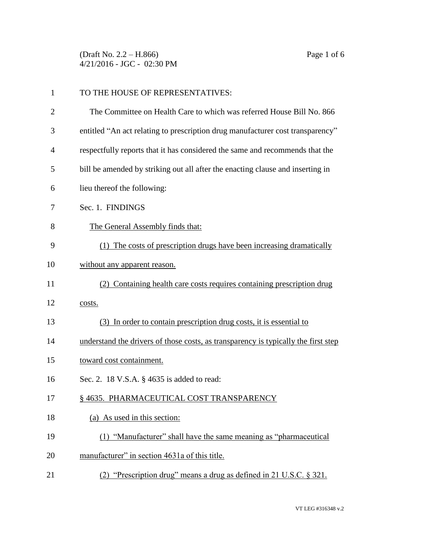(Draft No. 2.2 – H.866) Page 1 of 6 4/21/2016 - JGC - 02:30 PM

| $\mathbf{1}$   | TO THE HOUSE OF REPRESENTATIVES:                                                   |
|----------------|------------------------------------------------------------------------------------|
| $\overline{2}$ | The Committee on Health Care to which was referred House Bill No. 866              |
| 3              | entitled "An act relating to prescription drug manufacturer cost transparency"     |
| $\overline{4}$ | respectfully reports that it has considered the same and recommends that the       |
| 5              | bill be amended by striking out all after the enacting clause and inserting in     |
| 6              | lieu thereof the following:                                                        |
| 7              | Sec. 1. FINDINGS                                                                   |
| 8              | The General Assembly finds that:                                                   |
| 9              | (1) The costs of prescription drugs have been increasing dramatically              |
| 10             | without any apparent reason.                                                       |
| 11             | (2) Containing health care costs requires containing prescription drug             |
| 12             | costs.                                                                             |
| 13             | (3) In order to contain prescription drug costs, it is essential to                |
| 14             | understand the drivers of those costs, as transparency is typically the first step |
| 15             | toward cost containment.                                                           |
| 16             | Sec. 2. 18 V.S.A. § 4635 is added to read:                                         |
| 17             | § 4635. PHARMACEUTICAL COST TRANSPARENCY                                           |
| 18             | (a) As used in this section:                                                       |
| 19             | (1) "Manufacturer" shall have the same meaning as "pharmaceutical                  |
| 20             | manufacturer" in section 4631a of this title.                                      |
| 21             | (2) "Prescription drug" means a drug as defined in 21 U.S.C. § 321.                |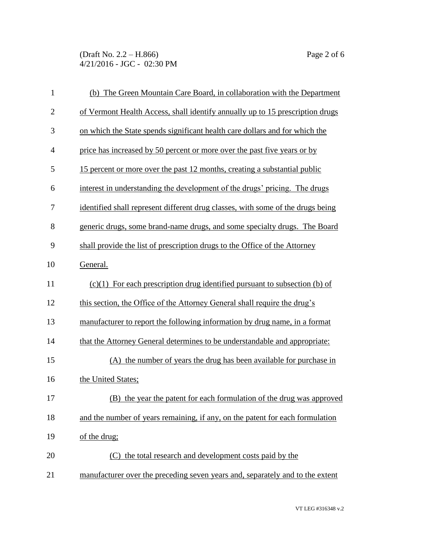(Draft No. 2.2 – H.866) Page 2 of 6 4/21/2016 - JGC - 02:30 PM

| $\mathbf{1}$   | (b) The Green Mountain Care Board, in collaboration with the Department         |
|----------------|---------------------------------------------------------------------------------|
| $\overline{2}$ | of Vermont Health Access, shall identify annually up to 15 prescription drugs   |
| 3              | on which the State spends significant health care dollars and for which the     |
| $\overline{4}$ | price has increased by 50 percent or more over the past five years or by        |
| 5              | 15 percent or more over the past 12 months, creating a substantial public       |
| 6              | interest in understanding the development of the drugs' pricing. The drugs      |
| 7              | identified shall represent different drug classes, with some of the drugs being |
| 8              | generic drugs, some brand-name drugs, and some specialty drugs. The Board       |
| 9              | shall provide the list of prescription drugs to the Office of the Attorney      |
| 10             | General.                                                                        |
| 11             | $(c)(1)$ For each prescription drug identified pursuant to subsection (b) of    |
| 12             | this section, the Office of the Attorney General shall require the drug's       |
| 13             | manufacturer to report the following information by drug name, in a format      |
| 14             | that the Attorney General determines to be understandable and appropriate:      |
| 15             | (A) the number of years the drug has been available for purchase in             |
| 16             | the United States;                                                              |
| 17             | (B) the year the patent for each formulation of the drug was approved           |
| 18             | and the number of years remaining, if any, on the patent for each formulation   |
| 19             | of the drug;                                                                    |
| 20             | (C) the total research and development costs paid by the                        |
| 21             | manufacturer over the preceding seven years and, separately and to the extent   |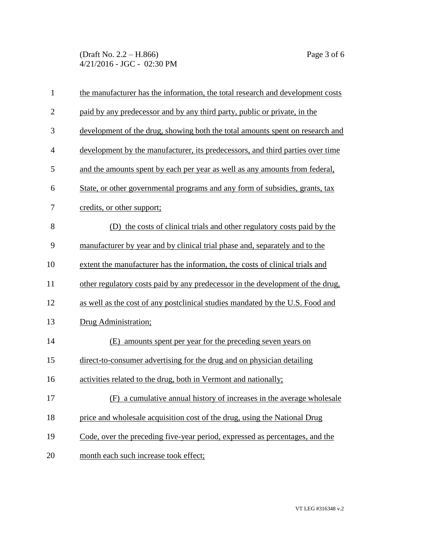(Draft No. 2.2 – H.866) Page 3 of 6 4/21/2016 - JGC - 02:30 PM

| $\mathbf{1}$   | the manufacturer has the information, the total research and development costs |
|----------------|--------------------------------------------------------------------------------|
| $\mathbf{2}$   | paid by any predecessor and by any third party, public or private, in the      |
| 3              | development of the drug, showing both the total amounts spent on research and  |
| $\overline{4}$ | development by the manufacturer, its predecessors, and third parties over time |
| 5              | and the amounts spent by each per year as well as any amounts from federal,    |
| 6              | State, or other governmental programs and any form of subsidies, grants, tax   |
| 7              | credits, or other support;                                                     |
| 8              | (D) the costs of clinical trials and other regulatory costs paid by the        |
| 9              | manufacturer by year and by clinical trial phase and, separately and to the    |
| 10             | extent the manufacturer has the information, the costs of clinical trials and  |
| 11             | other regulatory costs paid by any predecessor in the development of the drug, |
| 12             | as well as the cost of any postclinical studies mandated by the U.S. Food and  |
| 13             | Drug Administration;                                                           |
| 14             | (E) amounts spent per year for the preceding seven years on                    |
| 15             | direct-to-consumer advertising for the drug and on physician detailing         |
| 16             | activities related to the drug, both in Vermont and nationally;                |
| 17             | (F) a cumulative annual history of increases in the average wholesale          |
| 18             | price and wholesale acquisition cost of the drug, using the National Drug      |
| 19             | Code, over the preceding five-year period, expressed as percentages, and the   |
| 20             | month each such increase took effect;                                          |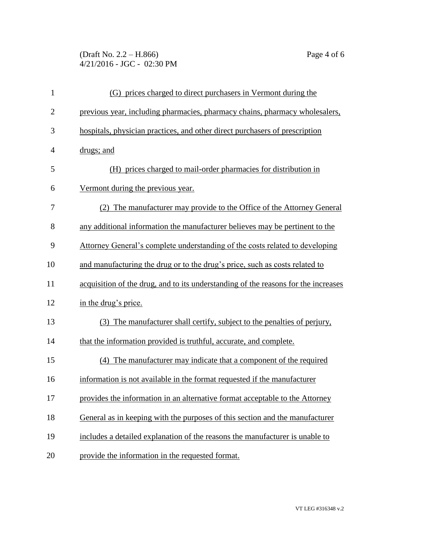(Draft No. 2.2 – H.866) Page 4 of 6 4/21/2016 - JGC - 02:30 PM

| $\mathbf{1}$   | (G) prices charged to direct purchasers in Vermont during the                      |
|----------------|------------------------------------------------------------------------------------|
| $\overline{2}$ | previous year, including pharmacies, pharmacy chains, pharmacy wholesalers,        |
| 3              | hospitals, physician practices, and other direct purchasers of prescription        |
| $\overline{4}$ | drugs; and                                                                         |
| 5              | (H) prices charged to mail-order pharmacies for distribution in                    |
| 6              | Vermont during the previous year.                                                  |
| 7              | (2) The manufacturer may provide to the Office of the Attorney General             |
| 8              | any additional information the manufacturer believes may be pertinent to the       |
| 9              | Attorney General's complete understanding of the costs related to developing       |
| 10             | and manufacturing the drug or to the drug's price, such as costs related to        |
| 11             | acquisition of the drug, and to its understanding of the reasons for the increases |
| 12             | in the drug's price.                                                               |
| 13             | The manufacturer shall certify, subject to the penalties of perjury,<br>(3)        |
| 14             | that the information provided is truthful, accurate, and complete.                 |
| 15             | (4) The manufacturer may indicate that a component of the required                 |
| 16             | information is not available in the format requested if the manufacturer           |
| 17             | provides the information in an alternative format acceptable to the Attorney       |
| 18             | General as in keeping with the purposes of this section and the manufacturer       |
| 19             | includes a detailed explanation of the reasons the manufacturer is unable to       |
| 20             | provide the information in the requested format.                                   |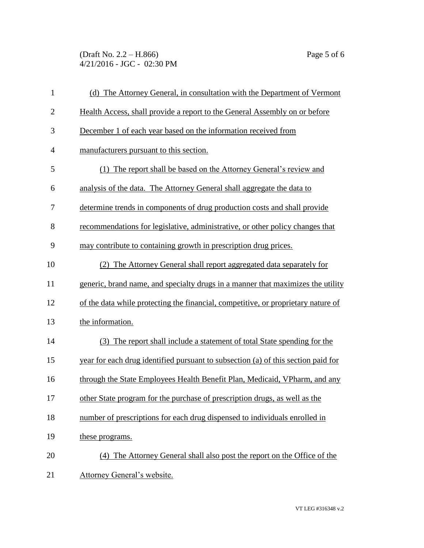(Draft No. 2.2 – H.866) Page 5 of 6 4/21/2016 - JGC - 02:30 PM

| $\mathbf{1}$   | (d) The Attorney General, in consultation with the Department of Vermont          |
|----------------|-----------------------------------------------------------------------------------|
| $\overline{2}$ | Health Access, shall provide a report to the General Assembly on or before        |
| 3              | December 1 of each year based on the information received from                    |
| $\overline{4}$ | manufacturers pursuant to this section.                                           |
| 5              | (1) The report shall be based on the Attorney General's review and                |
| 6              | analysis of the data. The Attorney General shall aggregate the data to            |
| 7              | determine trends in components of drug production costs and shall provide         |
| 8              | recommendations for legislative, administrative, or other policy changes that     |
| 9              | may contribute to containing growth in prescription drug prices.                  |
| 10             | (2) The Attorney General shall report aggregated data separately for              |
| 11             | generic, brand name, and specialty drugs in a manner that maximizes the utility   |
| 12             | of the data while protecting the financial, competitive, or proprietary nature of |
| 13             | the information.                                                                  |
| 14             | (3) The report shall include a statement of total State spending for the          |
| 15             | year for each drug identified pursuant to subsection (a) of this section paid for |
| 16             | through the State Employees Health Benefit Plan, Medicaid, VPharm, and any        |
| 17             | other State program for the purchase of prescription drugs, as well as the        |
| 18             | number of prescriptions for each drug dispensed to individuals enrolled in        |
| 19             | these programs.                                                                   |
| 20             | (4) The Attorney General shall also post the report on the Office of the          |
| 21             | Attorney General's website.                                                       |